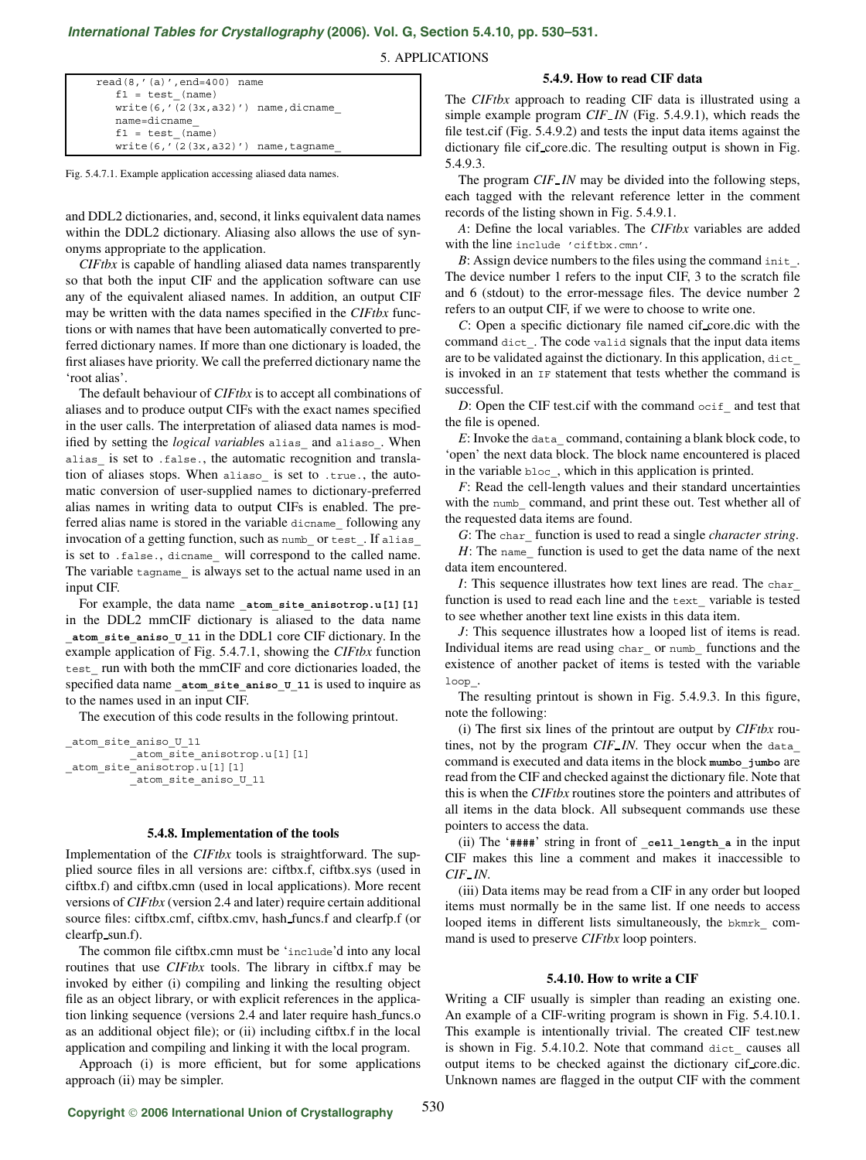# *International Tables for Crystallography* **[\(2006\). Vol. G, Section 5.4.10, pp. 530–531.](http://it.iucr.org/Ga/ch5o4v0001/sec5o4o10/)**

5. APPLICATIONS

| $read(8, '(a)', end=400)$ name           |
|------------------------------------------|
| $f1 = test (name)$                       |
| $write(6, ' (2(3x, a32)')$ name, dicname |
| name=dicname                             |
| $f1 = test (name)$                       |
| $write(6, ' (2(3x, a32)')$ name, tagname |

Fig. 5.4.7.1. Example application accessing aliased data names.

and DDL2 dictionaries, and, second, it links equivalent data names within the DDL2 dictionary. Aliasing also allows the use of synonyms appropriate to the application.

*CIFtbx* is capable of handling aliased data names transparently so that both the input CIF and the application software can use any of the equivalent aliased names. In addition, an output CIF may be written with the data names specified in the *CIFtbx* functions or with names that have been automatically converted to preferred dictionary names. If more than one dictionary is loaded, the first aliases have priority. We call the preferred dictionary name the 'root alias'.

The default behaviour of *CIFtbx* is to accept all combinations of aliases and to produce output CIFs with the exact names specified in the user calls. The interpretation of aliased data names is modified by setting the *logical variables* alias\_ and aliaso\_. When alias\_ is set to .false., the automatic recognition and translation of aliases stops. When aliaso\_ is set to .true., the automatic conversion of user-supplied names to dictionary-preferred alias names in writing data to output CIFs is enabled. The preferred alias name is stored in the variable dicname\_ following any invocation of a getting function, such as numb or test. If alias is set to .false., dicname will correspond to the called name. The variable tagname is always set to the actual name used in an input CIF.

For example, the data name **\_atom\_site\_anisotrop.u[1][1]** in the DDL2 mmCIF dictionary is aliased to the data name **\_atom\_site\_aniso\_U\_11** in the DDL1 core CIF dictionary. In the example application of Fig. 5.4.7.1, showing the *CIFtbx* function test\_ run with both the mmCIF and core dictionaries loaded, the specified data name **\_atom\_site\_aniso\_U\_11** is used to inquire as to the names used in an input CIF.

The execution of this code results in the following printout.

```
_atom_site_aniso_U_11
         atom site anisotrop.u[1][1]
atom_site_anisotrop.u[1][1]
         _atom_site_aniso_U_11
```
#### **5.4.8. Implementation of the tools**

Implementation of the *CIFtbx* tools is straightforward. The supplied source files in all versions are: ciftbx.f, ciftbx.sys (used in ciftbx.f) and ciftbx.cmn (used in local applications). More recent versions of *CIFtbx* (version 2.4 and later) require certain additional source files: ciftbx.cmf, ciftbx.cmv, hash funcs.f and clearfp.f (or clearfp sun.f).

The common file ciftbx.cmn must be 'include'd into any local routines that use *CIFtbx* tools. The library in ciftbx.f may be invoked by either (i) compiling and linking the resulting object file as an object library, or with explicit references in the application linking sequence (versions 2.4 and later require hash funcs.o as an additional object file); or (ii) including ciftbx.f in the local application and compiling and linking it with the local program.

Approach (i) is more efficient, but for some applications approach (ii) may be simpler.

## **5.4.9. How to read CIF data**

The *CIFtbx* approach to reading CIF data is illustrated using a simple example program *CIF IN* (Fig. 5.4.9.1), which reads the file test.cif (Fig. 5.4.9.2) and tests the input data items against the dictionary file cif core.dic. The resulting output is shown in Fig. 5.4.9.3.

The program *CIF IN* may be divided into the following steps, each tagged with the relevant reference letter in the comment records of the listing shown in Fig. 5.4.9.1.

*A*: Define the local variables. The *CIFtbx* variables are added with the line include 'ciftbx.cmn'.

*B*: Assign device numbers to the files using the command init. The device number 1 refers to the input CIF, 3 to the scratch file and 6 (stdout) to the error-message files. The device number 2 refers to an output CIF, if we were to choose to write one.

*C*: Open a specific dictionary file named cif core.dic with the command dict\_. The code valid signals that the input data items are to be validated against the dictionary. In this application, dict\_ is invoked in an IF statement that tests whether the command is successful.

*D*: Open the CIF test.cif with the command  $\text{oci}$  f and test that the file is opened.

*E*: Invoke the data\_ command, containing a blank block code, to 'open' the next data block. The block name encountered is placed in the variable bloc\_, which in this application is printed.

*F*: Read the cell-length values and their standard uncertainties with the numb command, and print these out. Test whether all of the requested data items are found.

*G*: The char\_ function is used to read a single *character string*.

*H*: The name function is used to get the data name of the next data item encountered.

*I*: This sequence illustrates how text lines are read. The char\_ function is used to read each line and the text\_ variable is tested to see whether another text line exists in this data item.

*J*: This sequence illustrates how a looped list of items is read. Individual items are read using char or numb functions and the existence of another packet of items is tested with the variable loop\_.

The resulting printout is shown in Fig. 5.4.9.3. In this figure, note the following:

(i) The first six lines of the printout are output by *CIFtbx* routines, not by the program *CIF IN*. They occur when the data\_ command is executed and data items in the block **mumbo\_jumbo** are read from the CIF and checked against the dictionary file. Note that this is when the *CIFtbx* routines store the pointers and attributes of all items in the data block. All subsequent commands use these pointers to access the data.

(ii) The '**####**' string in front of **\_cell\_length\_a** in the input CIF makes this line a comment and makes it inaccessible to *CIF IN*.

(iii) Data items may be read from a CIF in any order but looped items must normally be in the same list. If one needs to access looped items in different lists simultaneously, the bkmrk command is used to preserve *CIFtbx* loop pointers.

## **5.4.10. How to write a CIF**

Writing a CIF usually is simpler than reading an existing one. An example of a CIF-writing program is shown in Fig. 5.4.10.1. This example is intentionally trivial. The created CIF test.new is shown in Fig. 5.4.10.2. Note that command dict causes all output items to be checked against the dictionary cif core.dic. Unknown names are flagged in the output CIF with the comment